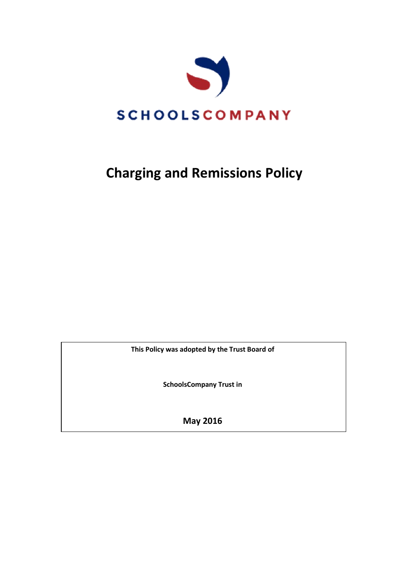

# **Charging and Remissions Policy**

**This Policy was adopted by the Trust Board of**

**SchoolsCompany Trust in**

**May 2016**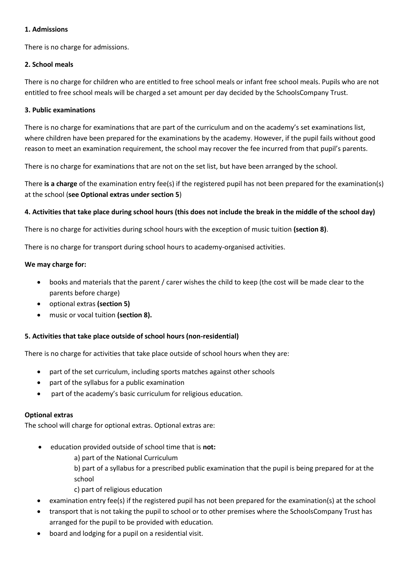#### **1. Admissions**

There is no charge for admissions.

#### **2. School meals**

There is no charge for children who are entitled to free school meals or infant free school meals. Pupils who are not entitled to free school meals will be charged a set amount per day decided by the SchoolsCompany Trust.

#### **3. Public examinations**

There is no charge for examinations that are part of the curriculum and on the academy's set examinations list, where children have been prepared for the examinations by the academy. However, if the pupil fails without good reason to meet an examination requirement, the school may recover the fee incurred from that pupil's parents.

There is no charge for examinations that are not on the set list, but have been arranged by the school.

There **is a charge** of the examination entry fee(s) if the registered pupil has not been prepared for the examination(s) at the school (**see Optional extras under section 5**)

# **4. Activities that take place during school hours (this does not include the break in the middle of the school day)**

There is no charge for activities during school hours with the exception of music tuition **(section 8)**.

There is no charge for transport during school hours to academy-organised activities.

#### **We may charge for:**

- books and materials that the parent / carer wishes the child to keep (the cost will be made clear to the parents before charge)
- optional extras **(section 5)**
- music or vocal tuition **(section 8).**

# **5. Activities that take place outside of school hours (non-residential)**

There is no charge for activities that take place outside of school hours when they are:

- part of the set curriculum, including sports matches against other schools
- part of the syllabus for a public examination
- part of the academy's basic curriculum for religious education.

#### **Optional extras**

The school will charge for optional extras. Optional extras are:

education provided outside of school time that is **not:**

a) part of the National Curriculum

b) part of a syllabus for a prescribed public examination that the pupil is being prepared for at the school

- c) part of religious education
- examination entry fee(s) if the registered pupil has not been prepared for the examination(s) at the school
- transport that is not taking the pupil to school or to other premises where the SchoolsCompany Trust has arranged for the pupil to be provided with education*.*
- board and lodging for a pupil on a residential visit.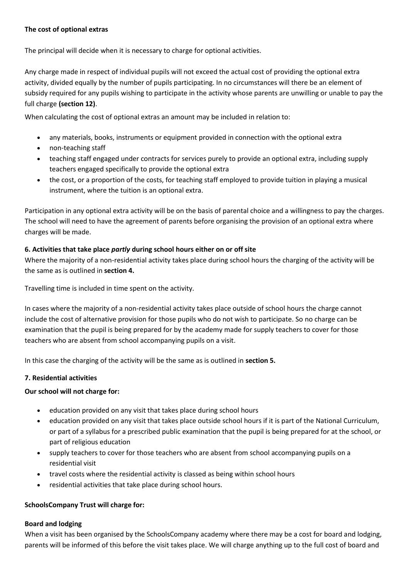# **The cost of optional extras**

The principal will decide when it is necessary to charge for optional activities.

Any charge made in respect of individual pupils will not exceed the actual cost of providing the optional extra activity, divided equally by the number of pupils participating. In no circumstances will there be an element of subsidy required for any pupils wishing to participate in the activity whose parents are unwilling or unable to pay the full charge **(section 12)**.

When calculating the cost of optional extras an amount may be included in relation to:

- any materials, books, instruments or equipment provided in connection with the optional extra
- non-teaching staff
- teaching staff engaged under contracts for services purely to provide an optional extra, including supply teachers engaged specifically to provide the optional extra
- the cost, or a proportion of the costs, for teaching staff employed to provide tuition in playing a musical instrument, where the tuition is an optional extra.

Participation in any optional extra activity will be on the basis of parental choice and a willingness to pay the charges. The school will need to have the agreement of parents before organising the provision of an optional extra where charges will be made.

# **6. Activities that take place** *partly* **during school hours either on or off site**

Where the majority of a non-residential activity takes place during school hours the charging of the activity will be the same as is outlined in **section 4.**

Travelling time is included in time spent on the activity.

In cases where the majority of a non-residential activity takes place outside of school hours the charge cannot include the cost of alternative provision for those pupils who do not wish to participate. So no charge can be examination that the pupil is being prepared for by the academy made for supply teachers to cover for those teachers who are absent from school accompanying pupils on a visit.

In this case the charging of the activity will be the same as is outlined in **section 5.**

# **7. Residential activities**

# **Our school will not charge for:**

- education provided on any visit that takes place during school hours
- education provided on any visit that takes place outside school hours if it is part of the National Curriculum, or part of a syllabus for a prescribed public examination that the pupil is being prepared for at the school, or part of religious education
- supply teachers to cover for those teachers who are absent from school accompanying pupils on a residential visit
- travel costs where the residential activity is classed as being within school hours
- residential activities that take place during school hours.

# **SchoolsCompany Trust will charge for:**

# **Board and lodging**

When a visit has been organised by the SchoolsCompany academy where there may be a cost for board and lodging, parents will be informed of this before the visit takes place. We will charge anything up to the full cost of board and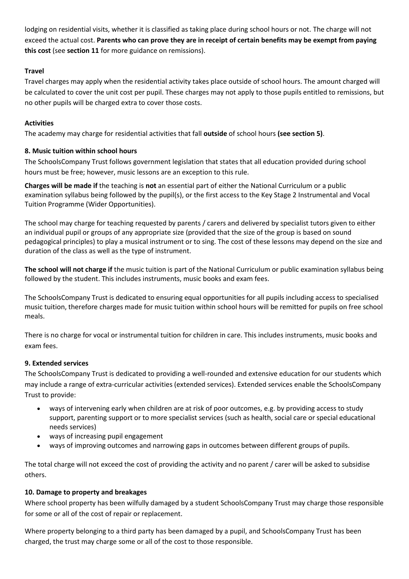lodging on residential visits, whether it is classified as taking place during school hours or not. The charge will not exceed the actual cost. **Parents who can prove they are in receipt of certain benefits may be exempt from paying this cost** (see **section 11** for more guidance on remissions).

# **Travel**

Travel charges may apply when the residential activity takes place outside of school hours. The amount charged will be calculated to cover the unit cost per pupil. These charges may not apply to those pupils entitled to remissions, but no other pupils will be charged extra to cover those costs.

#### **Activities**

The academy may charge for residential activities that fall **outside** of school hours **(see section 5)**.

# **8. Music tuition within school hours**

The SchoolsCompany Trust follows government legislation that states that all education provided during school hours must be free; however, music lessons are an exception to this rule.

**Charges will be made if** the teaching is **not** an essential part of either the National Curriculum or a public examination syllabus being followed by the pupil(s), or the first access to the Key Stage 2 Instrumental and Vocal Tuition Programme (Wider Opportunities).

The school may charge for teaching requested by parents / carers and delivered by specialist tutors given to either an individual pupil or groups of any appropriate size (provided that the size of the group is based on sound pedagogical principles) to play a musical instrument or to sing. The cost of these lessons may depend on the size and duration of the class as well as the type of instrument.

**The school will not charge if** the music tuition is part of the National Curriculum or public examination syllabus being followed by the student. This includes instruments, music books and exam fees.

The SchoolsCompany Trust is dedicated to ensuring equal opportunities for all pupils including access to specialised music tuition, therefore charges made for music tuition within school hours will be remitted for pupils on free school meals.

There is no charge for vocal or instrumental tuition for children in care. This includes instruments, music books and exam fees.

# **9. Extended services**

The SchoolsCompany Trust is dedicated to providing a well-rounded and extensive education for our students which may include a range of extra-curricular activities (extended services). Extended services enable the SchoolsCompany Trust to provide:

- ways of intervening early when children are at risk of poor outcomes, e.g. by providing access to study support, parenting support or to more specialist services (such as health, social care or special educational needs services)
- ways of increasing pupil engagement
- ways of improving outcomes and narrowing gaps in outcomes between different groups of pupils.

The total charge will not exceed the cost of providing the activity and no parent / carer will be asked to subsidise others.

# **10. Damage to property and breakages**

Where school property has been wilfully damaged by a student SchoolsCompany Trust may charge those responsible for some or all of the cost of repair or replacement.

Where property belonging to a third party has been damaged by a pupil, and SchoolsCompany Trust has been charged, the trust may charge some or all of the cost to those responsible.